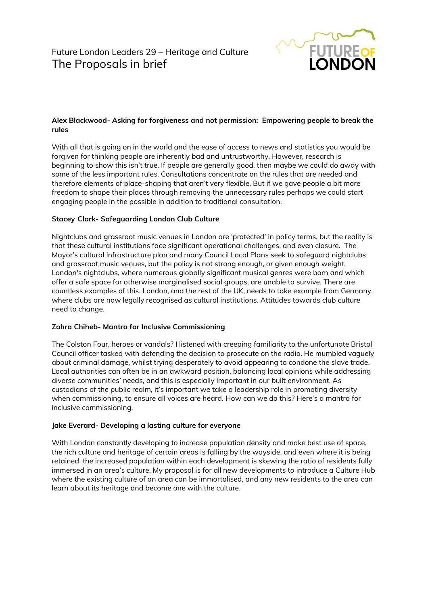

# **Alex Blackwood- Asking for forgiveness and not permission: Empowering people to break the rules**

With all that is going on in the world and the ease of access to news and statistics you would be forgiven for thinking people are inherently bad and untrustworthy. However, research is beginning to show this isn't true. If people are generally good, then maybe we could do away with some of the less important rules. Consultations concentrate on the rules that are needed and therefore elements of place-shaping that aren't very flexible. But if we gave people a bit more freedom to shape their places through removing the unnecessary rules perhaps we could start engaging people in the possible in addition to traditional consultation.

# **Stacey Clark- Safeguarding London Club Culture**

Nightclubs and grassroot music venues in London are 'protected' in policy terms, but the reality is that these cultural institutions face significant operational challenges, and even closure. The Mayor's cultural infrastructure plan and many Council Local Plans seek to safeguard nightclubs and grassroot music venues, but the policy is not strong enough, or given enough weight. London's nightclubs, where numerous globally significant musical genres were born and which offer a safe space for otherwise marginalised social groups, are unable to survive. There are countless examples of this. London, and the rest of the UK, needs to take example from Germany, where clubs are now legally recognised as cultural institutions. Attitudes towards club culture need to change.

# **Zohra Chiheb- Mantra for Inclusive Commissioning**

The Colston Four, heroes or vandals? I listened with creeping familiarity to the unfortunate Bristol Council officer tasked with defending the decision to prosecute on the radio. He mumbled vaguely about criminal damage, whilst trying desperately to avoid appearing to condone the slave trade. Local authorities can often be in an awkward position, balancing local opinions while addressing diverse communities' needs, and this is especially important in our built environment. As custodians of the public realm, it's important we take a leadership role in promoting diversity when commissioning, to ensure all voices are heard. How can we do this? Here's a mantra for inclusive commissioning.

# **Jake Everard- Developing a lasting culture for everyone**

With London constantly developing to increase population density and make best use of space, the rich culture and heritage of certain areas is falling by the wayside, and even where it is being retained, the increased population within each development is skewing the ratio of residents fully immersed in an area's culture. My proposal is for all new developments to introduce a Culture Hub where the existing culture of an area can be immortalised, and any new residents to the area can learn about its heritage and become one with the culture.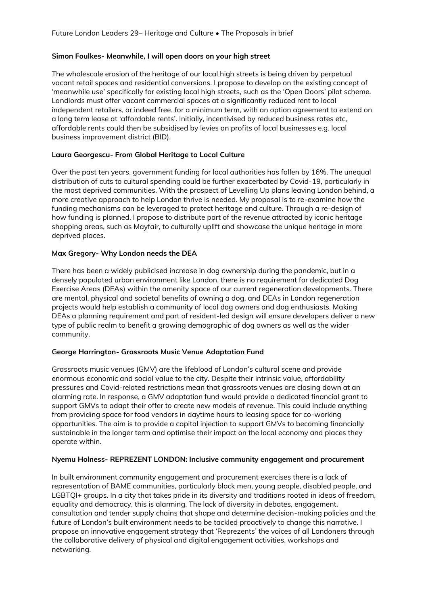### **Simon Foulkes- Meanwhile, I will open doors on your high street**

The wholescale erosion of the heritage of our local high streets is being driven by perpetual vacant retail spaces and residential conversions. I propose to develop on the existing concept of 'meanwhile use' specifically for existing local high streets, such as the 'Open Doors' pilot scheme. Landlords must offer vacant commercial spaces at a significantly reduced rent to local independent retailers, or indeed free, for a minimum term, with an option agreement to extend on a long term lease at 'affordable rents'. Initially, incentivised by reduced business rates etc, affordable rents could then be subsidised by levies on profits of local businesses e.g. local business improvement district (BID).

### **Laura Georgescu- From Global Heritage to Local Culture**

Over the past ten years, government funding for local authorities has fallen by 16%. The unequal distribution of cuts to cultural spending could be further exacerbated by Covid-19, particularly in the most deprived communities. With the prospect of Levelling Up plans leaving London behind, a more creative approach to help London thrive is needed. My proposal is to re-examine how the funding mechanisms can be leveraged to protect heritage and culture. Through a re-design of how funding is planned, I propose to distribute part of the revenue attracted by iconic heritage shopping areas, such as Mayfair, to culturally uplift and showcase the unique heritage in more deprived places.

# **Max Gregory- Why London needs the DEA**

There has been a widely publicised increase in dog ownership during the pandemic, but in a densely populated urban environment like London, there is no requirement for dedicated Dog Exercise Areas (DEAs) within the amenity space of our current regeneration developments. There are mental, physical and societal benefits of owning a dog, and DEAs in London regeneration projects would help establish a community of local dog owners and dog enthusiasts. Making DEAs a planning requirement and part of resident-led design will ensure developers deliver a new type of public realm to benefit a growing demographic of dog owners as well as the wider community.

#### **George Harrington- Grassroots Music Venue Adaptation Fund**

Grassroots music venues (GMV) are the lifeblood of London's cultural scene and provide enormous economic and social value to the city. Despite their intrinsic value, affordability pressures and Covid-related restrictions mean that grassroots venues are closing down at an alarming rate. In response, a GMV adaptation fund would provide a dedicated financial grant to support GMVs to adapt their offer to create new models of revenue. This could include anything from providing space for food vendors in daytime hours to leasing space for co-working opportunities. The aim is to provide a capital injection to support GMVs to becoming financially sustainable in the longer term and optimise their impact on the local economy and places they operate within.

#### **Nyemu Holness- REPREZENT LONDON: Inclusive community engagement and procurement**

In built environment community engagement and procurement exercises there is a lack of representation of BAME communities, particularly black men, young people, disabled people, and LGBTQI+ groups. In a city that takes pride in its diversity and traditions rooted in ideas of freedom, equality and democracy, this is alarming. The lack of diversity in debates, engagement, consultation and tender supply chains that shape and determine decision-making policies and the future of London's built environment needs to be tackled proactively to change this narrative. I propose an innovative engagement strategy that 'Reprezents' the voices of all Londoners through the collaborative delivery of physical and digital engagement activities, workshops and networking.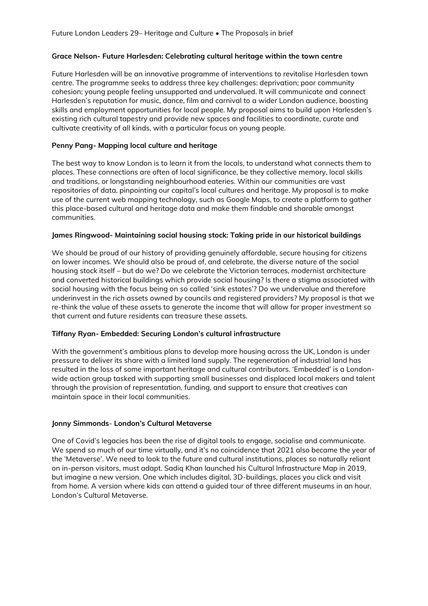### **Grace Nelson- Future Harlesden: Celebrating cultural heritage within the town centre**

Future Harlesden will be an innovative programme of interventions to revitalise Harlesden town centre. The programme seeks to address three key challenges: deprivation; poor community cohesion; young people feeling unsupported and undervalued. It will communicate and connect Harlesden's reputation for music, dance, film and carnival to a wider London audience, boosting skills and employment opportunities for local people. My proposal aims to build upon Harlesden's existing rich cultural tapestry and provide new spaces and facilities to coordinate, curate and cultivate creativity of all kinds, with a particular focus on young people.

### **Penny Pang- Mapping local culture and heritage**

The best way to know London is to learn it from the locals, to understand what connects them to places. These connections are often of local significance, be they collective memory, local skills and traditions, or longstanding neighbourhood eateries. Within our communities are vast repositories of data, pinpointing our capital's local cultures and heritage. My proposal is to make use of the current web mapping technology, such as Google Maps, to create a platform to gather this place-based cultural and heritage data and make them findable and sharable amongst communities.

# **James Ringwood- Maintaining social housing stock: Taking pride in our historical buildings**

We should be proud of our history of providing genuinely affordable, secure housing for citizens on lower incomes. We should also be proud of, and celebrate, the diverse nature of the social housing stock itself – but do we? Do we celebrate the Victorian terraces, modernist architecture and converted historical buildings which provide social housing? Is there a stigma associated with social housing with the focus being on so called 'sink estates'? Do we undervalue and therefore underinvest in the rich assets owned by councils and registered providers? My proposal is that we re-think the value of these assets to generate the income that will allow for proper investment so that current and future residents can treasure these assets.

#### **Tiffany Ryan- Embedded: Securing London's cultural infrastructure**

With the government's ambitious plans to develop more housing across the UK, London is under pressure to deliver its share with a limited land supply. The regeneration of industrial land has resulted in the loss of some important heritage and cultural contributors. 'Embedded' is a Londonwide action group tasked with supporting small businesses and displaced local makers and talent through the provision of representation, funding, and support to ensure that creatives can maintain space in their local communities.

# **Jonny Simmonds**- **London's Cultural Metaverse**

One of Covid's legacies has been the rise of digital tools to engage, socialise and communicate. We spend so much of our time virtually, and it's no coincidence that 2021 also became the year of the 'Metaverse'. We need to look to the future and cultural institutions, places so naturally reliant on in-person visitors, must adapt. Sadiq Khan launched his Cultural Infrastructure Map in 2019, but imagine a new version. One which includes digital, 3D-buildings, places you click and visit from home. A version where kids can attend a guided tour of three different museums in an hour. London's Cultural Metaverse.